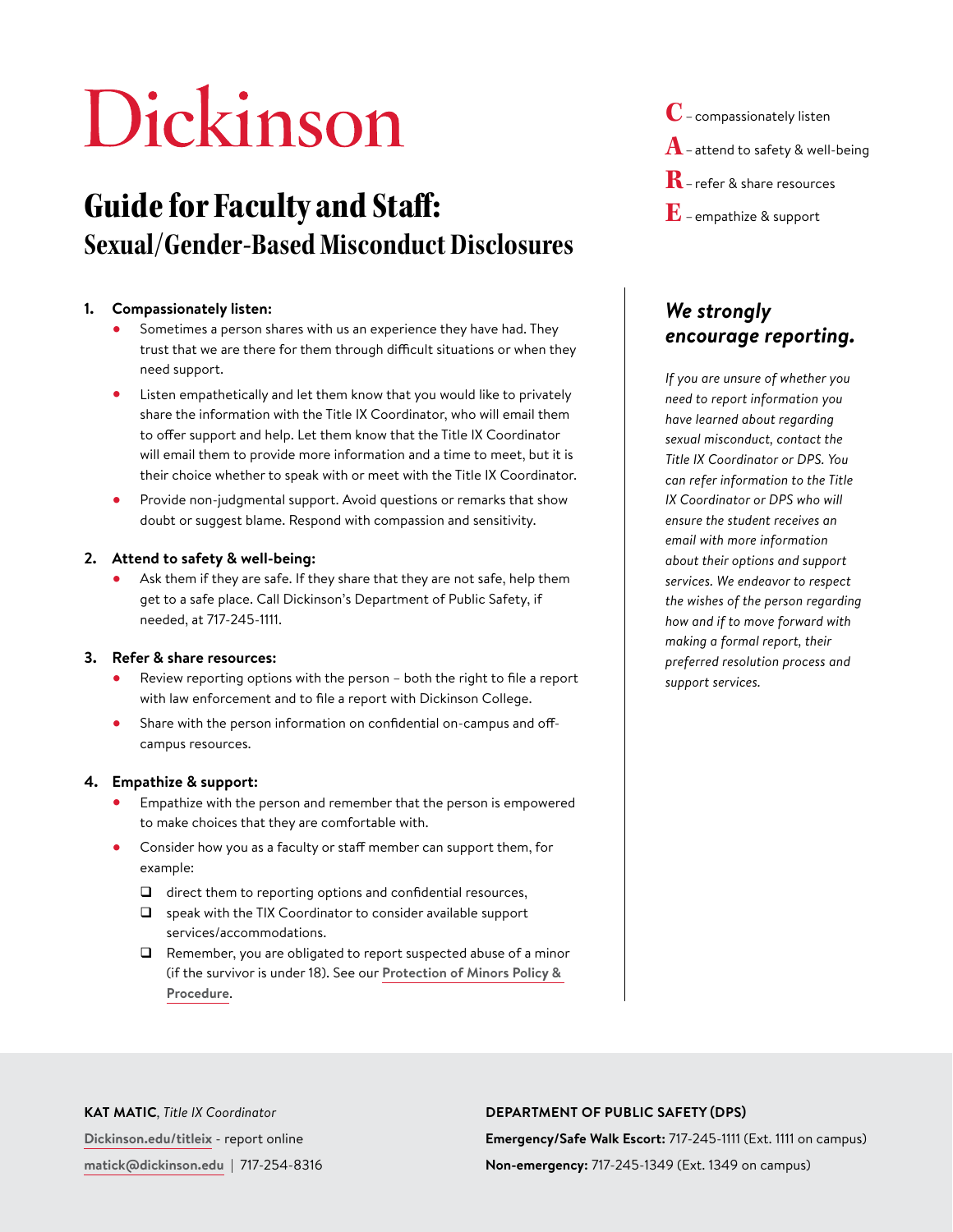# Dickinson

# Guide for Faculty and Staff: **Sexual/Gender-Based Misconduct Disclosures**

## **1. Compassionately listen:**

- **•** Sometimes a person shares with us an experience they have had. They trust that we are there for them through difficult situations or when they need support.
- **•** Listen empathetically and let them know that you would like to privately share the information with the Title IX Coordinator, who will email them to offer support and help. Let them know that the Title IX Coordinator will email them to provide more information and a time to meet, but it is their choice whether to speak with or meet with the Title IX Coordinator.
- **•** Provide non-judgmental support. Avoid questions or remarks that show doubt or suggest blame. Respond with compassion and sensitivity.

## **2. Attend to safety & well-being:**

**•** Ask them if they are safe. If they share that they are not safe, help them get to a safe place. Call Dickinson's Department of Public Safety, if needed, at 717-245-1111.

#### **3. Refer & share resources:**

- **•** Review reporting options with the person both the right to file a report with law enforcement and to file a report with Dickinson College.
- **•** Share with the person information on confidential on-campus and offcampus resources.

## **4. Empathize & support:**

- **•** Empathize with the person and remember that the person is empowered to make choices that they are comfortable with.
- **•** Consider how you as a faculty or staff member can support them, for example:
	- $\Box$  direct them to reporting options and confidential resources,
	- $\Box$  speak with the TIX Coordinator to consider available support services/accommodations.
	- $\Box$  Remember, you are obligated to report suspected abuse of a minor (if the survivor is under 18). See our **[Protection of Minors Policy &](https://www.dickinson.edu/download/downloads/id/8393/protection_of_minors_policy_and_procedure_2020.pdf)  [Procedure](https://www.dickinson.edu/download/downloads/id/8393/protection_of_minors_policy_and_procedure_2020.pdf)**.

**C**–compassionately listen  $\bf{A}$  – attend to safety & well-being **R**–refer & share resources **E**–empathize & support

# *We strongly encourage reporting.*

*If you are unsure of whether you need to report information you have learned about regarding sexual misconduct, contact the Title IX Coordinator or DPS. You can refer information to the Title IX Coordinator or DPS who will ensure the student receives an email with more information about their options and support services. We endeavor to respect the wishes of the person regarding how and if to move forward with making a formal report, their preferred resolution process and support services.*

#### **KAT MATIC***, Title IX Coordinator* **D[ickinson.edu/titleix](https://www.dickinson.edu/titleix)** - report online **[matick@dickinson.edu](mailto:matick%40dickinson.edu%20?subject=)** | 717-254-8316 **DEPARTMENT OF PUBLIC SAFETY (DPS) Emergency/Safe Walk Escort:** 717-245-1111 (Ext. 1111 on campus) **Non-emergency:** 717-245-1349 (Ext. 1349 on campus)